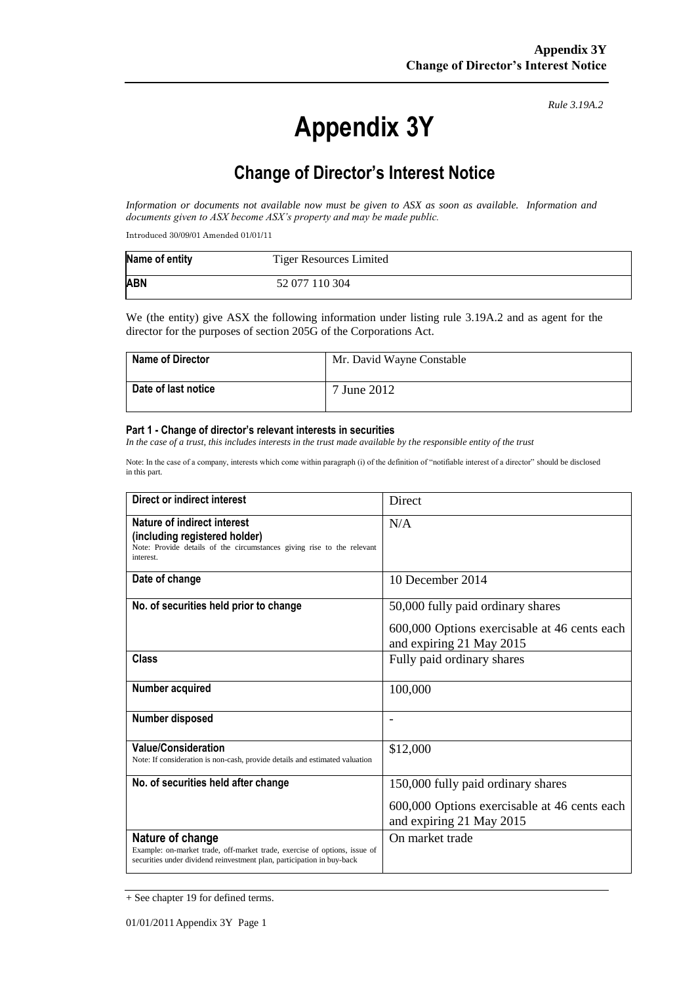# **Appendix 3Y**

*Rule 3.19A.2*

# **Change of Director's Interest Notice**

*Information or documents not available now must be given to ASX as soon as available. Information and documents given to ASX become ASX's property and may be made public.*

Introduced 30/09/01 Amended 01/01/11

| Name of entity | <b>Tiger Resources Limited</b> |
|----------------|--------------------------------|
| <b>ABN</b>     | 52 077 110 304                 |

We (the entity) give ASX the following information under listing rule 3.19A.2 and as agent for the director for the purposes of section 205G of the Corporations Act.

| <b>Name of Director</b> | Mr. David Wayne Constable |
|-------------------------|---------------------------|
| Date of last notice     | 7 June 2012               |

#### **Part 1 - Change of director's relevant interests in securities**

*In the case of a trust, this includes interests in the trust made available by the responsible entity of the trust*

Note: In the case of a company, interests which come within paragraph (i) of the definition of "notifiable interest of a director" should be disclosed in this part.

| Direct or indirect interest                                                                                                                                             | <b>Direct</b>                                                                                                  |
|-------------------------------------------------------------------------------------------------------------------------------------------------------------------------|----------------------------------------------------------------------------------------------------------------|
| Nature of indirect interest<br>(including registered holder)<br>Note: Provide details of the circumstances giving rise to the relevant<br>interest.                     | N/A                                                                                                            |
| Date of change                                                                                                                                                          | 10 December 2014                                                                                               |
| No. of securities held prior to change                                                                                                                                  | 50,000 fully paid ordinary shares<br>600,000 Options exercisable at 46 cents each<br>and expiring 21 May 2015  |
| Class                                                                                                                                                                   | Fully paid ordinary shares                                                                                     |
| Number acquired                                                                                                                                                         | 100,000                                                                                                        |
| Number disposed                                                                                                                                                         |                                                                                                                |
| <b>Value/Consideration</b><br>Note: If consideration is non-cash, provide details and estimated valuation                                                               | \$12,000                                                                                                       |
| No. of securities held after change                                                                                                                                     | 150,000 fully paid ordinary shares<br>600,000 Options exercisable at 46 cents each<br>and expiring 21 May 2015 |
| Nature of change<br>Example: on-market trade, off-market trade, exercise of options, issue of<br>securities under dividend reinvestment plan, participation in buy-back | On market trade                                                                                                |

<sup>+</sup> See chapter 19 for defined terms.